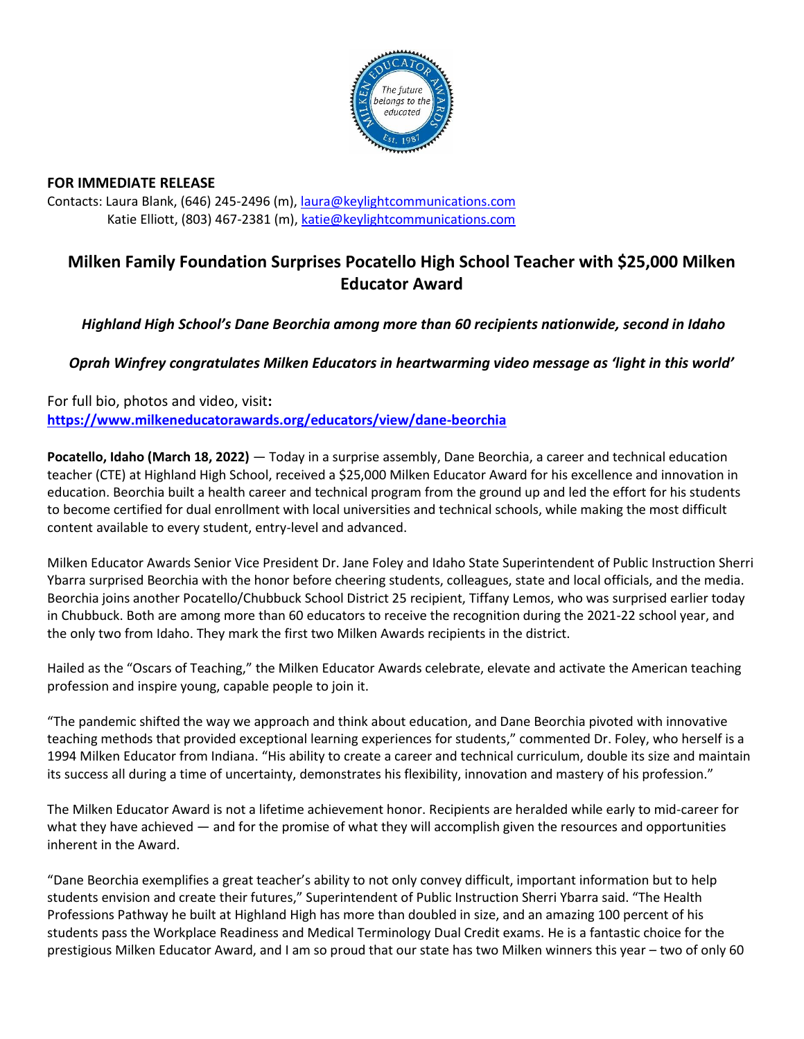

## **FOR IMMEDIATE RELEASE**

Contacts: Laura Blank, (646) 245-2496 (m), [laura@keylightcommunications.com](mailto:laura@keylightcommunications.com) Katie Elliott, (803) 467-2381 (m), [katie@keylightcommunications.com](mailto:katie@keylightcommunications.com)

# **Milken Family Foundation Surprises Pocatello High School Teacher with \$25,000 Milken Educator Award**

# *Highland High School's Dane Beorchia among more than 60 recipients nationwide, second in Idaho*

*Oprah Winfrey congratulates Milken Educators in heartwarming video message as 'light in this world'*

For full bio, photos and video, visit**: <https://www.milkeneducatorawards.org/educators/view/dane-beorchia>**

**Pocatello, Idaho (March 18, 2022)** — Today in a surprise assembly, Dane Beorchia, a career and technical education teacher (CTE) at Highland High School, received a \$25,000 Milken Educator Award for his excellence and innovation in education. Beorchia built a health career and technical program from the ground up and led the effort for his students to become certified for dual enrollment with local universities and technical schools, while making the most difficult content available to every student, entry-level and advanced.

Milken Educator Awards Senior Vice President Dr. Jane Foley and Idaho State Superintendent of Public Instruction Sherri Ybarra surprised Beorchia with the honor before cheering students, colleagues, state and local officials, and the media. Beorchia joins another Pocatello/Chubbuck School District 25 recipient, Tiffany Lemos, who was surprised earlier today in Chubbuck. Both are among more than 60 educators to receive the recognition during the 2021-22 school year, and the only two from Idaho. They mark the first two Milken Awards recipients in the district.

Hailed as the "Oscars of Teaching," the Milken Educator Awards celebrate, elevate and activate the American teaching profession and inspire young, capable people to join it.

"The pandemic shifted the way we approach and think about education, and Dane Beorchia pivoted with innovative teaching methods that provided exceptional learning experiences for students," commented Dr. Foley, who herself is a 1994 Milken Educator from Indiana. "His ability to create a career and technical curriculum, double its size and maintain its success all during a time of uncertainty, demonstrates his flexibility, innovation and mastery of his profession."

The Milken Educator Award is not a lifetime achievement honor. Recipients are heralded while early to mid-career for what they have achieved — and for the promise of what they will accomplish given the resources and opportunities inherent in the Award.

"Dane Beorchia exemplifies a great teacher's ability to not only convey difficult, important information but to help students envision and create their futures," Superintendent of Public Instruction Sherri Ybarra said. "The Health Professions Pathway he built at Highland High has more than doubled in size, and an amazing 100 percent of his students pass the Workplace Readiness and Medical Terminology Dual Credit exams. He is a fantastic choice for the prestigious Milken Educator Award, and I am so proud that our state has two Milken winners this year – two of only 60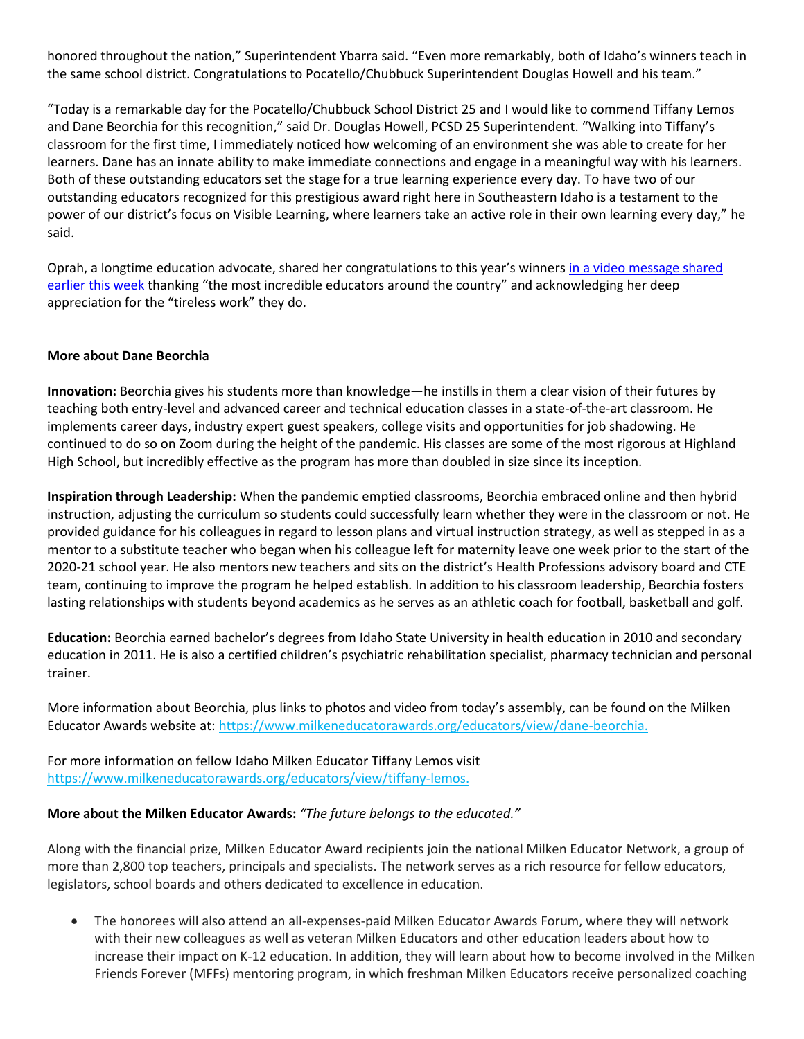honored throughout the nation," Superintendent Ybarra said. "Even more remarkably, both of Idaho's winners teach in the same school district. Congratulations to Pocatello/Chubbuck Superintendent Douglas Howell and his team."

"Today is a remarkable day for the Pocatello/Chubbuck School District 25 and I would like to commend Tiffany Lemos and Dane Beorchia for this recognition," said Dr. Douglas Howell, PCSD 25 Superintendent. "Walking into Tiffany's classroom for the first time, I immediately noticed how welcoming of an environment she was able to create for her learners. Dane has an innate ability to make immediate connections and engage in a meaningful way with his learners. Both of these outstanding educators set the stage for a true learning experience every day. To have two of our outstanding educators recognized for this prestigious award right here in Southeastern Idaho is a testament to the power of our district's focus on Visible Learning, where learners take an active role in their own learning every day," he said.

Oprah, a longtime education advocate, shared her congratulations to this year's winners in a video [message](https://www.youtube.com/watch?v=9tT8ZoVnMU0) shared [earlier](https://www.youtube.com/watch?v=9tT8ZoVnMU0) this week thanking "the most incredible educators around the country" and acknowledging her deep appreciation for the "tireless work" they do.

#### **More about Dane Beorchia**

**Innovation:** Beorchia gives his students more than knowledge—he instills in them a clear vision of their futures by teaching both entry-level and advanced career and technical education classes in a state-of-the-art classroom. He implements career days, industry expert guest speakers, college visits and opportunities for job shadowing. He continued to do so on Zoom during the height of the pandemic. His classes are some of the most rigorous at Highland High School, but incredibly effective as the program has more than doubled in size since its inception.

**Inspiration through Leadership:** When the pandemic emptied classrooms, Beorchia embraced online and then hybrid instruction, adjusting the curriculum so students could successfully learn whether they were in the classroom or not. He provided guidance for his colleagues in regard to lesson plans and virtual instruction strategy, as well as stepped in as a mentor to a substitute teacher who began when his colleague left for maternity leave one week prior to the start of the 2020-21 school year. He also mentors new teachers and sits on the district's Health Professions advisory board and CTE team, continuing to improve the program he helped establish. In addition to his classroom leadership, Beorchia fosters lasting relationships with students beyond academics as he serves as an athletic coach for football, basketball and golf.

**Education:** Beorchia earned bachelor's degrees from Idaho State University in health education in 2010 and secondary education in 2011. He is also a certified children's psychiatric rehabilitation specialist, pharmacy technician and personal trainer.

More information about Beorchia, plus links to photos and video from today's assembly, can be found on the Milken Educator Awards website at: https://www.milkeneducatorawards.org/educators/view/dane-beorchia.

For more information on fellow Idaho Milken Educator Tiffany Lemos visit https://www.milkeneducatorawards.org/educators/view/tiffany-lemos.

#### **More about the Milken Educator Awards:** *"The future belongs to the educated."*

Along with the financial prize, Milken Educator Award recipients join the national Milken Educator Network, a group of more than 2,800 top teachers, principals and specialists. The network serves as a rich resource for fellow educators, legislators, school boards and others dedicated to excellence in education.

• The honorees will also attend an all-expenses-paid Milken Educator Awards Forum, where they will network with their new colleagues as well as veteran Milken Educators and other education leaders about how to increase their impact on K-12 education. In addition, they will learn about how to become involved in the Milken Friends Forever (MFFs) mentoring program, in which freshman Milken Educators receive personalized coaching